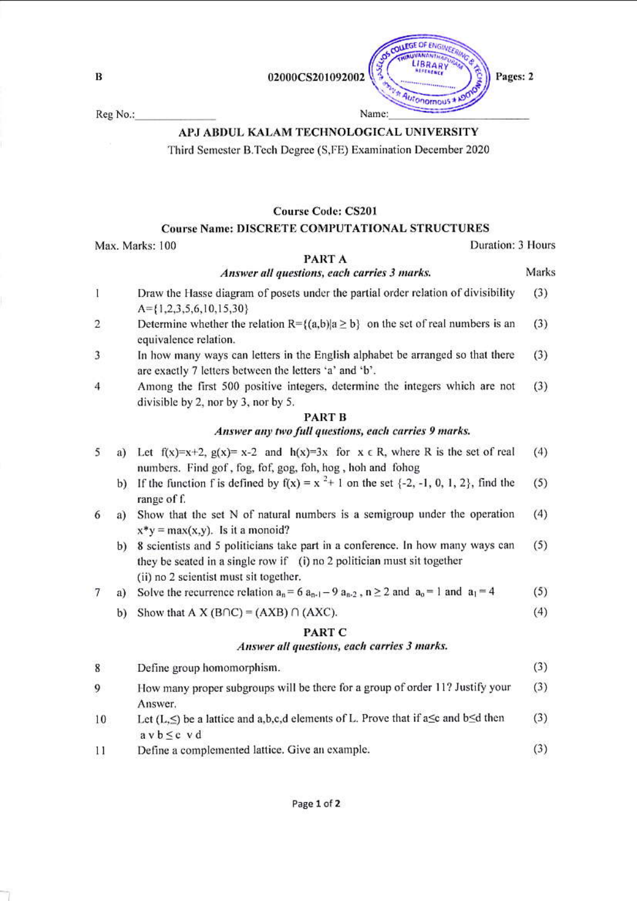$\bf{B}$ 

Reg No.:

# APJ ABDUL KALAM TECHNOLOGICAL UNIVERSITY

Third Semester B.Tech Degree (S.FE) Examination December 2020

## **Course Code: CS201**

## **Course Name: DISCRETE COMPUTATIONAL STRUCTURES**

Max. Marks: 100

### Duration: 3 Hours

Marks

 $(4)$ 

### PART A Answer all questions, each carries 3 marks.

- $\mathbf{I}$ Draw the Hasse diagram of posets under the partial order relation of divisibility  $(3)$  $A = \{1, 2, 3, 5, 6, 10, 15, 30\}$
- $\overline{2}$ Determine whether the relation  $R = \{(a,b) | a \ge b\}$  on the set of real numbers is an  $(3)$ equivalence relation.
- 3 In how many ways can letters in the English alphabet be arranged so that there  $(3)$ are exactly 7 letters between the letters 'a' and 'b'.
- Among the first 500 positive integers, determine the integers which are not 4  $(3)$ divisible by 2, nor by 3, nor by 5.

### **PART B** Answer any two full questions, each carries 9 marks.

- 5 a) Let  $f(x)=x+2$ ,  $g(x)=x-2$  and  $h(x)=3x$  for  $x \in R$ , where R is the set of real  $(4)$ numbers. Find gof, fog, fof, gog, foh, hog, hoh and fohog
	- b) If the function f is defined by  $f(x) = x^2 + 1$  on the set  $\{-2, -1, 0, 1, 2\}$ , find the  $(5)$ range of f.
- a) Show that the set N of natural numbers is a semigroup under the operation  $(4)$ 6  $x^*y = max(x,y)$ . Is it a monoid?
	- b) 8 scientists and 5 politicians take part in a conference. In how many ways can  $(5)$ they be seated in a single row if (i) no 2 politician must sit together (ii) no 2 scientist must sit together.

#### a) Solve the recurrence relation  $a_n = 6$   $a_{n-1} - 9$   $a_{n-2}$ ,  $n \ge 2$  and  $a_0 = 1$  and  $a_1 = 4$  $(5)$  $7\phantom{.0}$

b) Show that A X (B $\cap$ C) = (AXB)  $\cap$  (AXC).

## PART C

## Answer all questions, each carries 3 marks.

 $(3)$ 8 Define group homomorphism. How many proper subgroups will be there for a group of order 11? Justify your  $(3)$ 9 Answer. Let  $(L,\leq)$  be a lattice and a, b, c, d elements of L. Prove that if a $\leq$  and b $\leq$ d then  $10$  $(3)$  $a \vee b \leq c \vee d$  $(3)$ Define a complemented lattice. Give an example. 11